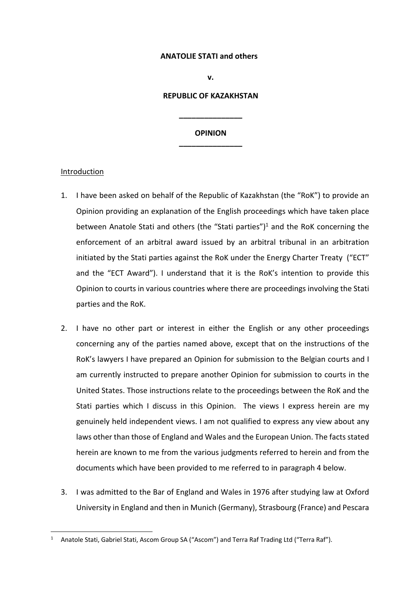### **ANATOLIE STATI and others**

### **v.**

### **REPUBLIC OF KAZAKHSTAN**

**\_\_\_\_\_\_\_\_\_\_\_\_\_\_\_**

# **OPINION \_\_\_\_\_\_\_\_\_\_\_\_\_\_\_**

## Introduction

- 1. I have been asked on behalf of the Republic of Kazakhstan (the "RoK") to provide an Opinion providing an explanation of the English proceedings which have taken place between Anatole Stati and others (the "Stati parties")<sup>1</sup> and the RoK concerning the enforcement of an arbitral award issued by an arbitral tribunal in an arbitration initiated by the Stati parties against the RoK under the Energy Charter Treaty ("ECT" and the "ECT Award"). I understand that it is the RoK's intention to provide this Opinion to courts in various countries where there are proceedings involving the Stati parties and the RoK.
- 2. I have no other part or interest in either the English or any other proceedings concerning any of the parties named above, except that on the instructions of the RoK's lawyers I have prepared an Opinion for submission to the Belgian courts and I am currently instructed to prepare another Opinion for submission to courts in the United States. Those instructions relate to the proceedings between the RoK and the Stati parties which I discuss in this Opinion. The views I express herein are my genuinely held independent views. I am not qualified to express any view about any laws other than those of England and Wales and the European Union. The facts stated herein are known to me from the various judgments referred to herein and from the documents which have been provided to me referred to in paragraph 4 below.
- 3. I was admitted to the Bar of England and Wales in 1976 after studying law at Oxford University in England and then in Munich (Germany), Strasbourg (France) and Pescara

<sup>&</sup>lt;sup>1</sup> Anatole Stati, Gabriel Stati, Ascom Group SA ("Ascom") and Terra Raf Trading Ltd ("Terra Raf").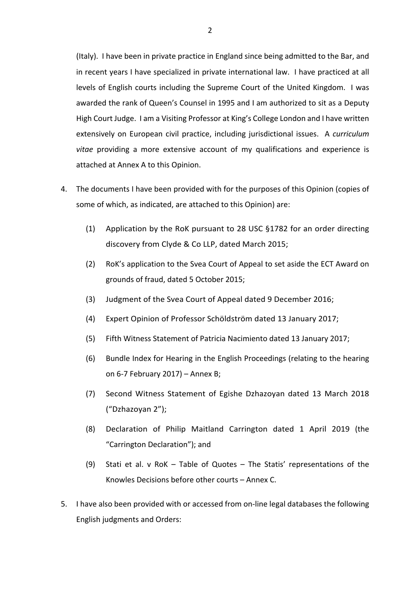(Italy). I have been in private practice in England since being admitted to the Bar, and in recent years I have specialized in private international law. I have practiced at all levels of English courts including the Supreme Court of the United Kingdom. I was awarded the rank of Queen's Counsel in 1995 and I am authorized to sit as a Deputy High Court Judge. I am a Visiting Professor at King's College London and I have written extensively on European civil practice, including jurisdictional issues. A *curriculum vitae* providing a more extensive account of my qualifications and experience is attached at Annex A to this Opinion.

- 4. The documents I have been provided with for the purposes of this Opinion (copies of some of which, as indicated, are attached to this Opinion) are:
	- (1) Application by the RoK pursuant to 28 USC §1782 for an order directing discovery from Clyde & Co LLP, dated March 2015;
	- (2) RoK's application to the Svea Court of Appeal to set aside the ECT Award on grounds of fraud, dated 5 October 2015;
	- (3) Judgment of the Svea Court of Appeal dated 9 December 2016;
	- (4) Expert Opinion of Professor Schöldström dated 13 January 2017;
	- (5) Fifth Witness Statement of Patricia Nacimiento dated 13 January 2017;
	- (6) Bundle Index for Hearing in the English Proceedings (relating to the hearing on 6-7 February 2017) – Annex B;
	- (7) Second Witness Statement of Egishe Dzhazoyan dated 13 March 2018 ("Dzhazoyan 2");
	- (8) Declaration of Philip Maitland Carrington dated 1 April 2019 (the "Carrington Declaration"); and
	- (9) Stati et al. v RoK Table of Quotes The Statis' representations of the Knowles Decisions before other courts – Annex C.
- 5. I have also been provided with or accessed from on-line legal databases the following English judgments and Orders: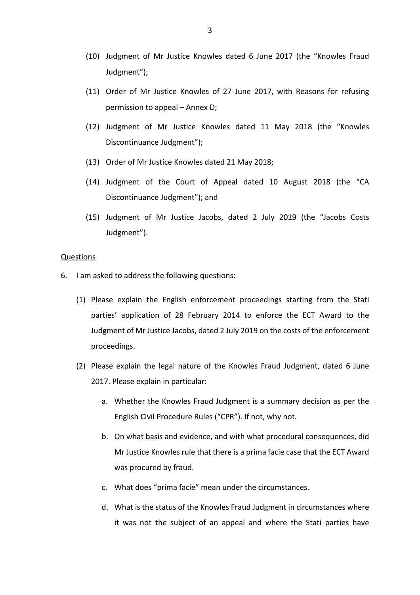- (10) Judgment of Mr Justice Knowles dated 6 June 2017 (the "Knowles Fraud Judgment");
- (11) Order of Mr Justice Knowles of 27 June 2017, with Reasons for refusing permission to appeal – Annex D;
- (12) Judgment of Mr Justice Knowles dated 11 May 2018 (the "Knowles Discontinuance Judgment");
- (13) Order of Mr Justice Knowles dated 21 May 2018;
- (14) Judgment of the Court of Appeal dated 10 August 2018 (the "CA Discontinuance Judgment"); and
- (15) Judgment of Mr Justice Jacobs, dated 2 July 2019 (the "Jacobs Costs Judgment").

#### Questions

- 6. I am asked to address the following questions:
	- (1) Please explain the English enforcement proceedings starting from the Stati parties' application of 28 February 2014 to enforce the ECT Award to the Judgment of Mr Justice Jacobs, dated 2 July 2019 on the costs of the enforcement proceedings.
	- (2) Please explain the legal nature of the Knowles Fraud Judgment, dated 6 June 2017. Please explain in particular:
		- a. Whether the Knowles Fraud Judgment is a summary decision as per the English Civil Procedure Rules ("CPR"). If not, why not.
		- b. On what basis and evidence, and with what procedural consequences, did Mr Justice Knowles rule that there is a prima facie case that the ECT Award was procured by fraud.
		- c. What does "prima facie" mean under the circumstances.
		- d. What is the status of the Knowles Fraud Judgment in circumstances where it was not the subject of an appeal and where the Stati parties have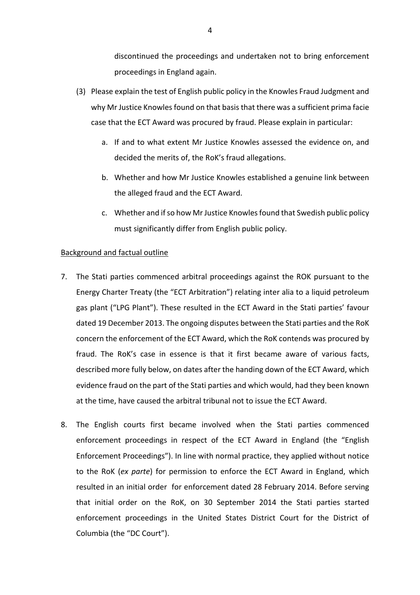discontinued the proceedings and undertaken not to bring enforcement proceedings in England again.

- (3) Please explain the test of English public policy in the Knowles Fraud Judgment and why Mr Justice Knowles found on that basis that there was a sufficient prima facie case that the ECT Award was procured by fraud. Please explain in particular:
	- a. If and to what extent Mr Justice Knowles assessed the evidence on, and decided the merits of, the RoK's fraud allegations.
	- b. Whether and how Mr Justice Knowles established a genuine link between the alleged fraud and the ECT Award.
	- c. Whether and if so how Mr Justice Knowles found that Swedish public policy must significantly differ from English public policy.

### Background and factual outline

- 7. The Stati parties commenced arbitral proceedings against the ROK pursuant to the Energy Charter Treaty (the "ECT Arbitration") relating inter alia to a liquid petroleum gas plant ("LPG Plant"). These resulted in the ECT Award in the Stati parties' favour dated 19 December 2013. The ongoing disputes between the Stati parties and the RoK concern the enforcement of the ECT Award, which the RoK contends was procured by fraud. The RoK's case in essence is that it first became aware of various facts, described more fully below, on dates after the handing down of the ECT Award, which evidence fraud on the part of the Stati parties and which would, had they been known at the time, have caused the arbitral tribunal not to issue the ECT Award.
- 8. The English courts first became involved when the Stati parties commenced enforcement proceedings in respect of the ECT Award in England (the "English Enforcement Proceedings"). In line with normal practice, they applied without notice to the RoK (*ex parte*) for permission to enforce the ECT Award in England, which resulted in an initial order for enforcement dated 28 February 2014. Before serving that initial order on the RoK, on 30 September 2014 the Stati parties started enforcement proceedings in the United States District Court for the District of Columbia (the "DC Court").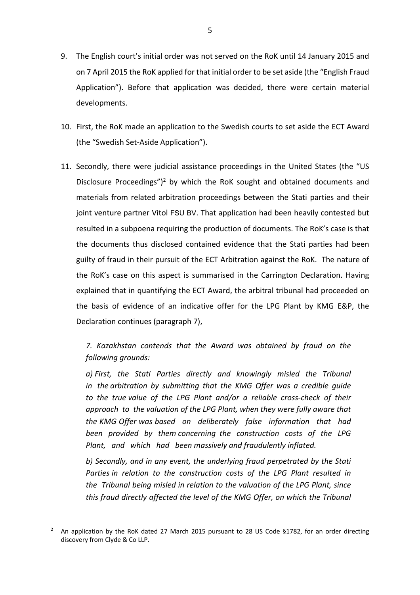- 9. The English court's initial order was not served on the RoK until 14 January 2015 and on 7 April 2015 the RoK applied for that initial order to be set aside (the "English Fraud Application"). Before that application was decided, there were certain material developments.
- 10. First, the RoK made an application to the Swedish courts to set aside the ECT Award (the "Swedish Set-Aside Application").
- 11. Secondly, there were judicial assistance proceedings in the United States (the "US Disclosure Proceedings")<sup>2</sup> by which the RoK sought and obtained documents and materials from related arbitration proceedings between the Stati parties and their joint venture partner Vitol FSU BV. That application had been heavily contested but resulted in a subpoena requiring the production of documents. The RoK's case is that the documents thus disclosed contained evidence that the Stati parties had been guilty of fraud in their pursuit of the ECT Arbitration against the RoK. The nature of the RoK's case on this aspect is summarised in the Carrington Declaration. Having explained that in quantifying the ECT Award, the arbitral tribunal had proceeded on the basis of evidence of an indicative offer for the LPG Plant by KMG E&P, the Declaration continues (paragraph 7),

*7. Kazakhstan contends that the Award was obtained by fraud on the following grounds:*

*a) First, the Stati Parties directly and knowingly misled the Tribunal in the arbitration by submitting that the KMG Offer was a credible guide to the true value of the LPG Plant and/or a reliable cross-check of their approach to the valuation of the LPG Plant, when they were fully aware that the KMG Offer was based on deliberately false information that had been provided by them concerning the construction costs of the LPG Plant, and which had been massively and fraudulently inflated.*

*b) Secondly, and in any event, the underlying fraud perpetrated by the Stati Parties in relation to the construction costs of the LPG Plant resulted in the Tribunal being misled in relation to the valuation of the LPG Plant, since this fraud directly affected the level of the KMG Offer, on which the Tribunal* 

<sup>2</sup> An application by the RoK dated 27 March 2015 pursuant to 28 US Code §1782, for an order directing discovery from Clyde & Co LLP.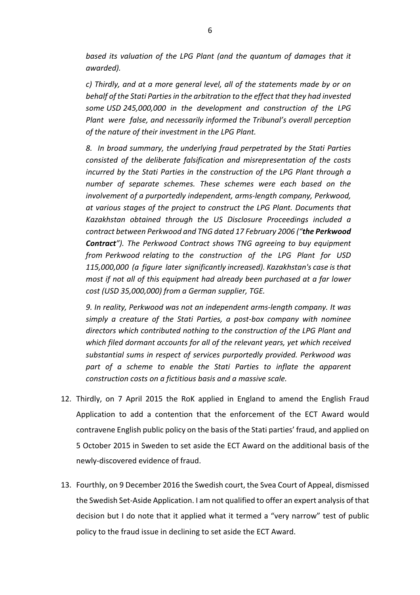*based its valuation of the LPG Plant (and the quantum of damages that it awarded).*

*c) Thirdly, and at a more general level, all of the statements made by or on behalf of the Stati Parties in the arbitration to the effect that they had invested some USD 245,000,000 in the development and construction of the LPG Plant were false, and necessarily informed the Tribunal's overall perception of the nature of their investment in the LPG Plant.*

*8. In broad summary, the underlying fraud perpetrated by the Stati Parties consisted of the deliberate falsification and misrepresentation of the costs incurred by the Stati Parties in the construction of the LPG Plant through a number of separate schemes. These schemes were each based on the involvement of a purportedly independent, arms-length company, Perkwood, at various stages of the project to construct the LPG Plant. Documents that Kazakhstan obtained through the US Disclosure Proceedings included a contract between Perkwood and TNG dated 17 February 2006 ("the Perkwood Contract"). The Perkwood Contract shows TNG agreeing to buy equipment from Perkwood relating to the construction of the LPG Plant for USD 115,000,000 (a figure later significantly increased). Kazakhstan's case is that most if not all of this equipment had already been purchased at a far lower cost (USD 35,000,000) from a German supplier, TGE.*

*9. In reality, Perkwood was not an independent arms-length company. It was simply a creature of the Stati Parties, a post-box company with nominee directors which contributed nothing to the construction of the LPG Plant and which filed dormant accounts for all of the relevant years, yet which received substantial sums in respect of services purportedly provided. Perkwood was part of a scheme to enable the Stati Parties to inflate the apparent construction costs on a fictitious basis and a massive scale.*

- 12. Thirdly, on 7 April 2015 the RoK applied in England to amend the English Fraud Application to add a contention that the enforcement of the ECT Award would contravene English public policy on the basis of the Stati parties' fraud, and applied on 5 October 2015 in Sweden to set aside the ECT Award on the additional basis of the newly-discovered evidence of fraud.
- 13. Fourthly, on 9 December 2016 the Swedish court, the Svea Court of Appeal, dismissed the Swedish Set-Aside Application. I am not qualified to offer an expert analysis of that decision but I do note that it applied what it termed a "very narrow" test of public policy to the fraud issue in declining to set aside the ECT Award.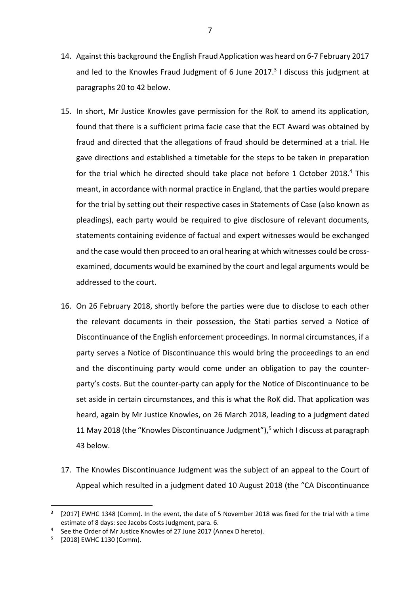- 14. Against this background the English Fraud Application was heard on 6-7 February 2017 and led to the Knowles Fraud Judgment of 6 June 2017. $3$  I discuss this judgment at paragraphs 20 to 42 below.
- 15. In short, Mr Justice Knowles gave permission for the RoK to amend its application, found that there is a sufficient prima facie case that the ECT Award was obtained by fraud and directed that the allegations of fraud should be determined at a trial. He gave directions and established a timetable for the steps to be taken in preparation for the trial which he directed should take place not before 1 October 2018.<sup>4</sup> This meant, in accordance with normal practice in England, that the parties would prepare for the trial by setting out their respective cases in Statements of Case (also known as pleadings), each party would be required to give disclosure of relevant documents, statements containing evidence of factual and expert witnesses would be exchanged and the case would then proceed to an oral hearing at which witnesses could be crossexamined, documents would be examined by the court and legal arguments would be addressed to the court.
- 16. On 26 February 2018, shortly before the parties were due to disclose to each other the relevant documents in their possession, the Stati parties served a Notice of Discontinuance of the English enforcement proceedings. In normal circumstances, if a party serves a Notice of Discontinuance this would bring the proceedings to an end and the discontinuing party would come under an obligation to pay the counterparty's costs. But the counter-party can apply for the Notice of Discontinuance to be set aside in certain circumstances, and this is what the RoK did. That application was heard, again by Mr Justice Knowles, on 26 March 2018, leading to a judgment dated 11 May 2018 (the "Knowles Discontinuance Judgment"), <sup>5</sup> which I discuss at paragraph 43 below.
- 17. The Knowles Discontinuance Judgment was the subject of an appeal to the Court of Appeal which resulted in a judgment dated 10 August 2018 (the "CA Discontinuance

<sup>[2017]</sup> EWHC 1348 (Comm). In the event, the date of 5 November 2018 was fixed for the trial with a time estimate of 8 days: see Jacobs Costs Judgment, para. 6.

See the Order of Mr Justice Knowles of 27 June 2017 (Annex D hereto).

<sup>5</sup> [2018] EWHC 1130 (Comm).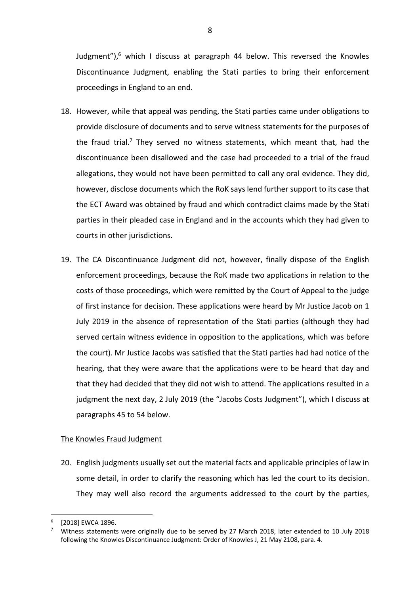Judgment"), $6$  which I discuss at paragraph 44 below. This reversed the Knowles Discontinuance Judgment, enabling the Stati parties to bring their enforcement proceedings in England to an end.

- 18. However, while that appeal was pending, the Stati parties came under obligations to provide disclosure of documents and to serve witness statements for the purposes of the fraud trial.<sup>7</sup> They served no witness statements, which meant that, had the discontinuance been disallowed and the case had proceeded to a trial of the fraud allegations, they would not have been permitted to call any oral evidence. They did, however, disclose documents which the RoK says lend further support to its case that the ECT Award was obtained by fraud and which contradict claims made by the Stati parties in their pleaded case in England and in the accounts which they had given to courts in other jurisdictions.
- 19. The CA Discontinuance Judgment did not, however, finally dispose of the English enforcement proceedings, because the RoK made two applications in relation to the costs of those proceedings, which were remitted by the Court of Appeal to the judge of first instance for decision. These applications were heard by Mr Justice Jacob on 1 July 2019 in the absence of representation of the Stati parties (although they had served certain witness evidence in opposition to the applications, which was before the court). Mr Justice Jacobs was satisfied that the Stati parties had had notice of the hearing, that they were aware that the applications were to be heard that day and that they had decided that they did not wish to attend. The applications resulted in a judgment the next day, 2 July 2019 (the "Jacobs Costs Judgment"), which I discuss at paragraphs 45 to 54 below.

## The Knowles Fraud Judgment

20. English judgments usually set out the material facts and applicable principles of law in some detail, in order to clarify the reasoning which has led the court to its decision. They may well also record the arguments addressed to the court by the parties,

<sup>[2018]</sup> EWCA 1896.

<sup>7</sup> Witness statements were originally due to be served by 27 March 2018, later extended to 10 July 2018 following the Knowles Discontinuance Judgment: Order of Knowles J, 21 May 2108, para. 4.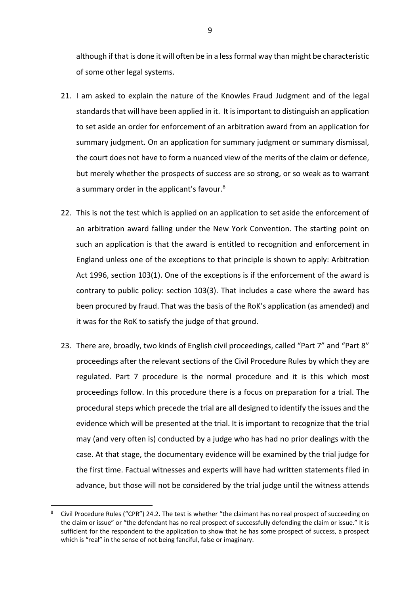although if that is done it will often be in a less formal way than might be characteristic of some other legal systems.

- 21. I am asked to explain the nature of the Knowles Fraud Judgment and of the legal standards that will have been applied in it. It is important to distinguish an application to set aside an order for enforcement of an arbitration award from an application for summary judgment. On an application for summary judgment or summary dismissal, the court does not have to form a nuanced view of the merits of the claim or defence, but merely whether the prospects of success are so strong, or so weak as to warrant a summary order in the applicant's favour.8
- 22. This is not the test which is applied on an application to set aside the enforcement of an arbitration award falling under the New York Convention. The starting point on such an application is that the award is entitled to recognition and enforcement in England unless one of the exceptions to that principle is shown to apply: Arbitration Act 1996, section 103(1). One of the exceptions is if the enforcement of the award is contrary to public policy: section 103(3). That includes a case where the award has been procured by fraud. That was the basis of the RoK's application (as amended) and it was for the RoK to satisfy the judge of that ground.
- 23. There are, broadly, two kinds of English civil proceedings, called "Part 7" and "Part 8" proceedings after the relevant sections of the Civil Procedure Rules by which they are regulated. Part 7 procedure is the normal procedure and it is this which most proceedings follow. In this procedure there is a focus on preparation for a trial. The procedural steps which precede the trial are all designed to identify the issues and the evidence which will be presented at the trial. It is important to recognize that the trial may (and very often is) conducted by a judge who has had no prior dealings with the case. At that stage, the documentary evidence will be examined by the trial judge for the first time. Factual witnesses and experts will have had written statements filed in advance, but those will not be considered by the trial judge until the witness attends

Civil Procedure Rules ("CPR") 24.2. The test is whether "the claimant has no real prospect of succeeding on the claim or issue" or "the defendant has no real prospect of successfully defending the claim or issue." It is sufficient for the respondent to the application to show that he has some prospect of success, a prospect which is "real" in the sense of not being fanciful, false or imaginary.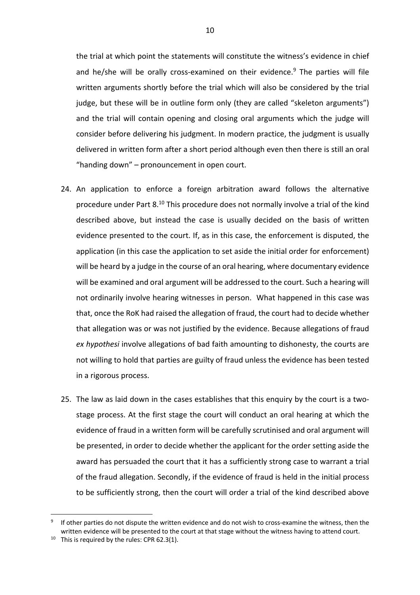the trial at which point the statements will constitute the witness's evidence in chief and he/she will be orally cross-examined on their evidence.<sup>9</sup> The parties will file written arguments shortly before the trial which will also be considered by the trial judge, but these will be in outline form only (they are called "skeleton arguments") and the trial will contain opening and closing oral arguments which the judge will consider before delivering his judgment. In modern practice, the judgment is usually delivered in written form after a short period although even then there is still an oral "handing down" – pronouncement in open court.

- 24. An application to enforce a foreign arbitration award follows the alternative procedure under Part 8.10 This procedure does not normally involve a trial of the kind described above, but instead the case is usually decided on the basis of written evidence presented to the court. If, as in this case, the enforcement is disputed, the application (in this case the application to set aside the initial order for enforcement) will be heard by a judge in the course of an oral hearing, where documentary evidence will be examined and oral argument will be addressed to the court. Such a hearing will not ordinarily involve hearing witnesses in person. What happened in this case was that, once the RoK had raised the allegation of fraud, the court had to decide whether that allegation was or was not justified by the evidence. Because allegations of fraud *ex hypothesi* involve allegations of bad faith amounting to dishonesty, the courts are not willing to hold that parties are guilty of fraud unless the evidence has been tested in a rigorous process.
- 25. The law as laid down in the cases establishes that this enquiry by the court is a twostage process. At the first stage the court will conduct an oral hearing at which the evidence of fraud in a written form will be carefully scrutinised and oral argument will be presented, in order to decide whether the applicant for the order setting aside the award has persuaded the court that it has a sufficiently strong case to warrant a trial of the fraud allegation. Secondly, if the evidence of fraud is held in the initial process to be sufficiently strong, then the court will order a trial of the kind described above

If other parties do not dispute the written evidence and do not wish to cross-examine the witness, then the written evidence will be presented to the court at that stage without the witness having to attend court.

<sup>&</sup>lt;sup>10</sup> This is required by the rules: CPR 62.3(1).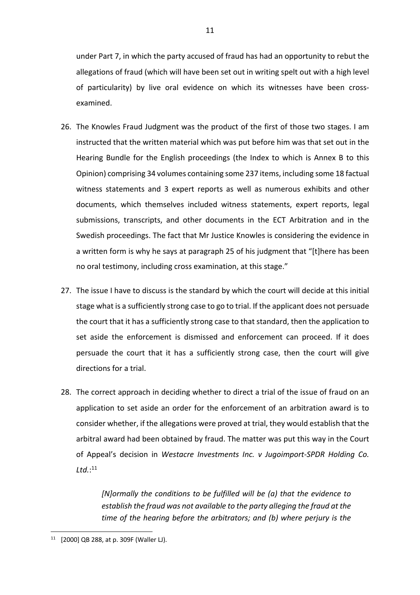under Part 7, in which the party accused of fraud has had an opportunity to rebut the allegations of fraud (which will have been set out in writing spelt out with a high level of particularity) by live oral evidence on which its witnesses have been crossexamined.

- 26. The Knowles Fraud Judgment was the product of the first of those two stages. I am instructed that the written material which was put before him was that set out in the Hearing Bundle for the English proceedings (the Index to which is Annex B to this Opinion) comprising 34 volumes containing some 237 items, including some 18 factual witness statements and 3 expert reports as well as numerous exhibits and other documents, which themselves included witness statements, expert reports, legal submissions, transcripts, and other documents in the ECT Arbitration and in the Swedish proceedings. The fact that Mr Justice Knowles is considering the evidence in a written form is why he says at paragraph 25 of his judgment that "[t]here has been no oral testimony, including cross examination, at this stage."
- 27. The issue I have to discuss is the standard by which the court will decide at this initial stage what is a sufficiently strong case to go to trial. If the applicant does not persuade the court that it has a sufficiently strong case to that standard, then the application to set aside the enforcement is dismissed and enforcement can proceed. If it does persuade the court that it has a sufficiently strong case, then the court will give directions for a trial.
- 28. The correct approach in deciding whether to direct a trial of the issue of fraud on an application to set aside an order for the enforcement of an arbitration award is to consider whether, if the allegations were proved at trial, they would establish that the arbitral award had been obtained by fraud. The matter was put this way in the Court of Appeal's decision in *Westacre Investments Inc. v Jugoimport-SPDR Holding Co. Ltd.*: 11

*[N]ormally the conditions to be fulfilled will be (a) that the evidence to establish the fraud was not available to the party alleging the fraud at the time of the hearing before the arbitrators; and (b) where perjury is the* 

<sup>11</sup> [2000] QB 288, at p. 309F (Waller LJ).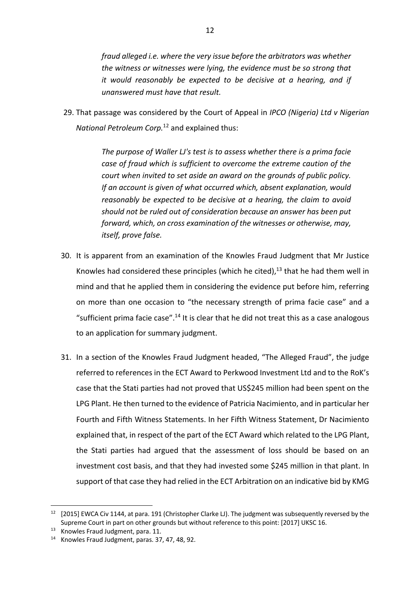*fraud alleged i.e. where the very issue before the arbitrators was whether the witness or witnesses were lying, the evidence must be so strong that it would reasonably be expected to be decisive at a hearing, and if unanswered must have that result.* 

29. That passage was considered by the Court of Appeal in *IPCO (Nigeria) Ltd v Nigerian National Petroleum Corp.*<sup>12</sup> and explained thus:

> *The purpose of Waller LJ's test is to assess whether there is a prima facie case of fraud which is sufficient to overcome the extreme caution of the court when invited to set aside an award on the grounds of public policy. If an account is given of what occurred which, absent explanation, would reasonably be expected to be decisive at a hearing, the claim to avoid should not be ruled out of consideration because an answer has been put forward, which, on cross examination of the witnesses or otherwise, may, itself, prove false.*

- 30. It is apparent from an examination of the Knowles Fraud Judgment that Mr Justice Knowles had considered these principles (which he cited), $^{13}$  that he had them well in mind and that he applied them in considering the evidence put before him, referring on more than one occasion to "the necessary strength of prima facie case" and a "sufficient prima facie case".<sup>14</sup> It is clear that he did not treat this as a case analogous to an application for summary judgment.
- 31. In a section of the Knowles Fraud Judgment headed, "The Alleged Fraud", the judge referred to references in the ECT Award to Perkwood Investment Ltd and to the RoK's case that the Stati parties had not proved that US\$245 million had been spent on the LPG Plant. He then turned to the evidence of Patricia Nacimiento, and in particular her Fourth and Fifth Witness Statements. In her Fifth Witness Statement, Dr Nacimiento explained that, in respect of the part of the ECT Award which related to the LPG Plant, the Stati parties had argued that the assessment of loss should be based on an investment cost basis, and that they had invested some \$245 million in that plant. In support of that case they had relied in the ECT Arbitration on an indicative bid by KMG

<sup>&</sup>lt;sup>12</sup> [2015] EWCA Civ 1144, at para. 191 (Christopher Clarke LJ). The judgment was subsequently reversed by the Supreme Court in part on other grounds but without reference to this point: [2017] UKSC 16.

<sup>13</sup> Knowles Fraud Judgment, para. 11.

<sup>14</sup> Knowles Fraud Judgment, paras. 37, 47, 48, 92.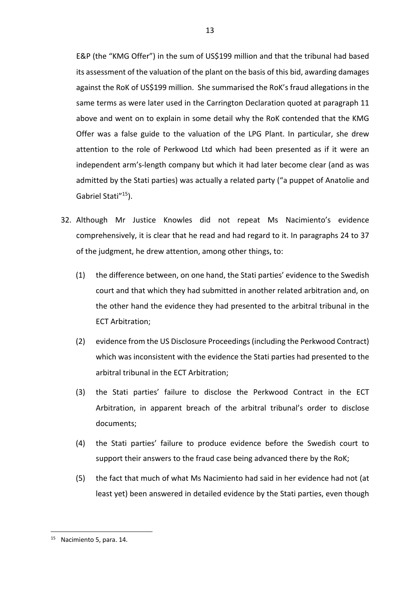E&P (the "KMG Offer") in the sum of US\$199 million and that the tribunal had based its assessment of the valuation of the plant on the basis of this bid, awarding damages against the RoK of US\$199 million. She summarised the RoK's fraud allegations in the same terms as were later used in the Carrington Declaration quoted at paragraph 11 above and went on to explain in some detail why the RoK contended that the KMG Offer was a false guide to the valuation of the LPG Plant. In particular, she drew attention to the role of Perkwood Ltd which had been presented as if it were an independent arm's-length company but which it had later become clear (and as was admitted by the Stati parties) was actually a related party ("a puppet of Anatolie and Gabriel Stati<sup>"15</sup>).

- 32. Although Mr Justice Knowles did not repeat Ms Nacimiento's evidence comprehensively, it is clear that he read and had regard to it. In paragraphs 24 to 37 of the judgment, he drew attention, among other things, to:
	- (1) the difference between, on one hand, the Stati parties' evidence to the Swedish court and that which they had submitted in another related arbitration and, on the other hand the evidence they had presented to the arbitral tribunal in the ECT Arbitration;
	- (2) evidence from the US Disclosure Proceedings (including the Perkwood Contract) which was inconsistent with the evidence the Stati parties had presented to the arbitral tribunal in the ECT Arbitration;
	- (3) the Stati parties' failure to disclose the Perkwood Contract in the ECT Arbitration, in apparent breach of the arbitral tribunal's order to disclose documents;
	- (4) the Stati parties' failure to produce evidence before the Swedish court to support their answers to the fraud case being advanced there by the RoK;
	- (5) the fact that much of what Ms Nacimiento had said in her evidence had not (at least yet) been answered in detailed evidence by the Stati parties, even though

<sup>&</sup>lt;sup>15</sup> Nacimiento 5, para, 14.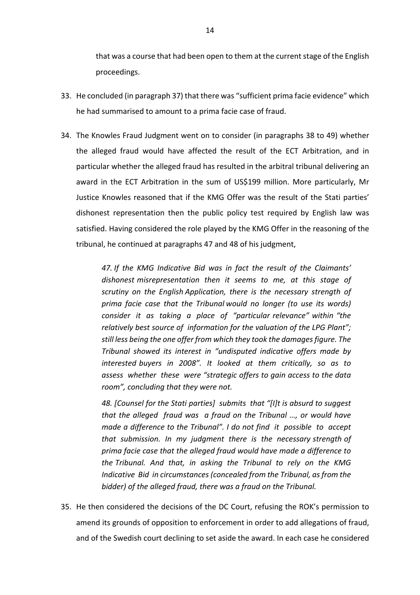that was a course that had been open to them at the current stage of the English proceedings.

- 33. He concluded (in paragraph 37) that there was "sufficient prima facie evidence" which he had summarised to amount to a prima facie case of fraud.
- 34. The Knowles Fraud Judgment went on to consider (in paragraphs 38 to 49) whether the alleged fraud would have affected the result of the ECT Arbitration, and in particular whether the alleged fraud has resulted in the arbitral tribunal delivering an award in the ECT Arbitration in the sum of US\$199 million. More particularly, Mr Justice Knowles reasoned that if the KMG Offer was the result of the Stati parties' dishonest representation then the public policy test required by English law was satisfied. Having considered the role played by the KMG Offer in the reasoning of the tribunal, he continued at paragraphs 47 and 48 of his judgment,

*47. If the KMG Indicative Bid was in fact the result of the Claimants' dishonest misrepresentation then it seems to me, at this stage of scrutiny on the English Application, there is the necessary strength of prima facie case that the Tribunal would no longer (to use its words) consider it as taking a place of "particular relevance" within "the relatively best source of information for the valuation of the LPG Plant"; still less being the one offer from which they took the damages figure. The Tribunal showed its interest in "undisputed indicative offers made by interested buyers in 2008". It looked at them critically, so as to assess whether these were "strategic offers to gain access to the data room", concluding that they were not.*

*48. [Counsel for the Stati parties] submits that "[I]t is absurd to suggest that the alleged fraud was a fraud on the Tribunal …, or would have made a difference to the Tribunal". I do not find it possible to accept that submission. In my judgment there is the necessary strength of prima facie case that the alleged fraud would have made a difference to the Tribunal. And that, in asking the Tribunal to rely on the KMG Indicative Bid in circumstances (concealed from the Tribunal, as from the bidder) of the alleged fraud, there was a fraud on the Tribunal.*

35. He then considered the decisions of the DC Court, refusing the ROK's permission to amend its grounds of opposition to enforcement in order to add allegations of fraud, and of the Swedish court declining to set aside the award. In each case he considered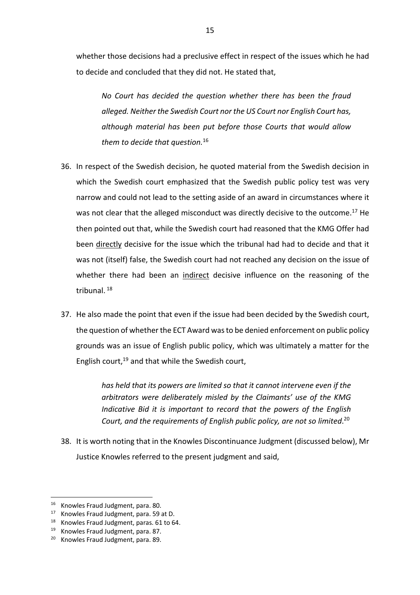whether those decisions had a preclusive effect in respect of the issues which he had to decide and concluded that they did not. He stated that,

*No Court has decided the question whether there has been the fraud alleged. Neither the Swedish Court nor the US Court nor English Court has, although material has been put before those Courts that would allow them to decide that question.*<sup>16</sup>

- 36. In respect of the Swedish decision, he quoted material from the Swedish decision in which the Swedish court emphasized that the Swedish public policy test was very narrow and could not lead to the setting aside of an award in circumstances where it was not clear that the alleged misconduct was directly decisive to the outcome.<sup>17</sup> He then pointed out that, while the Swedish court had reasoned that the KMG Offer had been directly decisive for the issue which the tribunal had had to decide and that it was not (itself) false, the Swedish court had not reached any decision on the issue of whether there had been an indirect decisive influence on the reasoning of the tribunal. <sup>18</sup>
- 37. He also made the point that even if the issue had been decided by the Swedish court, the question of whether the ECT Award was to be denied enforcement on public policy grounds was an issue of English public policy, which was ultimately a matter for the English court,<sup>19</sup> and that while the Swedish court,

*has held that its powers are limited so that it cannot intervene even if the arbitrators were deliberately misled by the Claimants' use of the KMG Indicative Bid it is important to record that the powers of the English Court, and the requirements of English public policy, are not so limited*. 20

38. It is worth noting that in the Knowles Discontinuance Judgment (discussed below), Mr Justice Knowles referred to the present judgment and said,

<sup>&</sup>lt;sup>16</sup> Knowles Fraud Judgment, para. 80.

<sup>17</sup> Knowles Fraud Judgment, para. 59 at D.

<sup>&</sup>lt;sup>18</sup> Knowles Fraud Judgment, paras. 61 to 64.

<sup>19</sup> Knowles Fraud Judgment, para. 87.

<sup>&</sup>lt;sup>20</sup> Knowles Fraud Judgment, para. 89.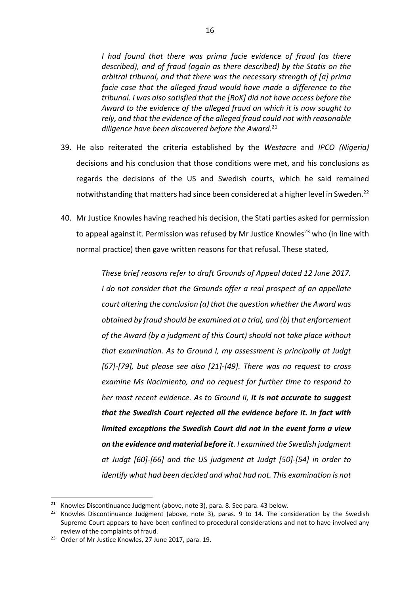*I had found that there was prima facie evidence of fraud (as there described), and of fraud (again as there described) by the Statis on the arbitral tribunal, and that there was the necessary strength of [a] prima facie case that the alleged fraud would have made a difference to the tribunal. I was also satisfied that the [RoK] did not have access before the Award to the evidence of the alleged fraud on which it is now sought to rely, and that the evidence of the alleged fraud could not with reasonable diligence have been discovered before the Award.*<sup>21</sup>

- 39. He also reiterated the criteria established by the *Westacre* and *IPCO (Nigeria)*  decisions and his conclusion that those conditions were met, and his conclusions as regards the decisions of the US and Swedish courts, which he said remained notwithstanding that matters had since been considered at a higher level in Sweden.<sup>22</sup>
- 40. Mr Justice Knowles having reached his decision, the Stati parties asked for permission to appeal against it. Permission was refused by Mr Justice Knowles<sup>23</sup> who (in line with normal practice) then gave written reasons for that refusal. These stated,

*These brief reasons refer to draft Grounds of Appeal dated 12 June 2017. I do not consider that the Grounds offer a real prospect of an appellate court altering the conclusion (a) that the question whether the Award was obtained by fraud should be examined at a trial, and (b) that enforcement of the Award (by a judgment of this Court) should not take place without that examination. As to Ground I, my assessment is principally at Judgt [67]-[79], but please see also [21]-[49]. There was no request to cross examine Ms Nacimiento, and no request for further time to respond to her most recent evidence. As to Ground II, it is not accurate to suggest that the Swedish Court rejected all the evidence before it. In fact with limited exceptions the Swedish Court did not in the event form a view on the evidence and material before it. I examined the Swedish judgment at Judgt [60]-[66] and the US judgment at Judgt [50]-[54] in order to identify what had been decided and what had not. This examination is not* 

 $21$  Knowles Discontinuance Judgment (above, note 3), para. 8. See para. 43 below.

 $22$  Knowles Discontinuance Judgment (above, note 3), paras. 9 to 14. The consideration by the Swedish Supreme Court appears to have been confined to procedural considerations and not to have involved any review of the complaints of fraud.

<sup>&</sup>lt;sup>23</sup> Order of Mr Justice Knowles, 27 June 2017, para. 19.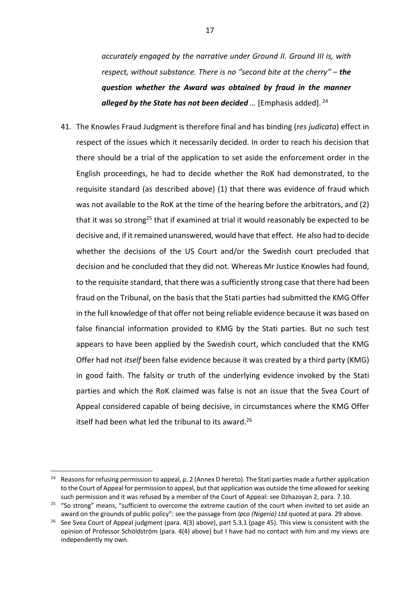*accurately engaged by the narrative under Ground II. Ground III is, with respect, without substance. There is no "second bite at the cherry" – the question whether the Award was obtained by fraud in the manner alleged by the State has not been decided ...* [Emphasis added].<sup>24</sup>

41. The Knowles Fraud Judgment is therefore final and has binding (*res judicata*) effect in respect of the issues which it necessarily decided. In order to reach his decision that there should be a trial of the application to set aside the enforcement order in the English proceedings, he had to decide whether the RoK had demonstrated, to the requisite standard (as described above) (1) that there was evidence of fraud which was not available to the RoK at the time of the hearing before the arbitrators, and (2) that it was so strong<sup>25</sup> that if examined at trial it would reasonably be expected to be decisive and, if it remained unanswered, would have that effect. He also had to decide whether the decisions of the US Court and/or the Swedish court precluded that decision and he concluded that they did not. Whereas Mr Justice Knowles had found, to the requisite standard, that there was a sufficiently strong case that there had been fraud on the Tribunal, on the basis that the Stati parties had submitted the KMG Offer in the full knowledge of that offer not being reliable evidence because it was based on false financial information provided to KMG by the Stati parties. But no such test appears to have been applied by the Swedish court, which concluded that the KMG Offer had not *itself* been false evidence because it was created by a third party (KMG) in good faith. The falsity or truth of the underlying evidence invoked by the Stati parties and which the RoK claimed was false is not an issue that the Svea Court of Appeal considered capable of being decisive, in circumstances where the KMG Offer itself had been what led the tribunal to its award.<sup>26</sup>

<sup>&</sup>lt;sup>24</sup> Reasons for refusing permission to appeal, p. 2 (Annex D hereto). The Stati parties made a further application to the Court of Appeal for permission to appeal, but that application was outside the time allowed for seeking such permission and it was refused by a member of the Court of Appeal: see Dzhazoyan 2, para. 7.10.

<sup>&</sup>lt;sup>25</sup> "So strong" means, "sufficient to overcome the extreme caution of the court when invited to set aside an award on the grounds of public policy": see the passage from *Ipco (Nigeria) Ltd* quoted at para. 29 above.

<sup>&</sup>lt;sup>26</sup> See Svea Court of Appeal judgment (para. 4(3) above), part 5.3.1 (page 45). This view is consistent with the opinion of Professor Schöldström (para. 4(4) above) but I have had no contact with him and my views are independently my own.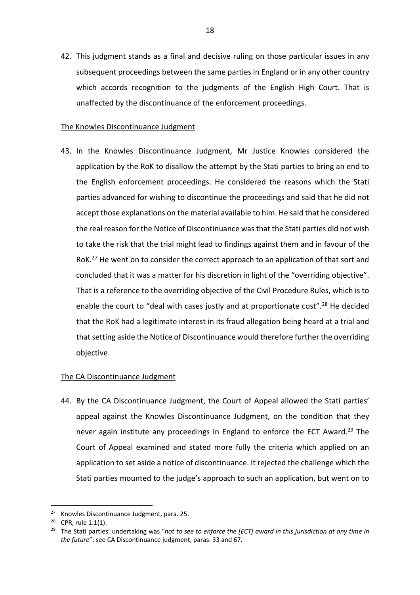42. This judgment stands as a final and decisive ruling on those particular issues in any subsequent proceedings between the same parties in England or in any other country which accords recognition to the judgments of the English High Court. That is unaffected by the discontinuance of the enforcement proceedings.

### The Knowles Discontinuance Judgment

43. In the Knowles Discontinuance Judgment, Mr Justice Knowles considered the application by the RoK to disallow the attempt by the Stati parties to bring an end to the English enforcement proceedings. He considered the reasons which the Stati parties advanced for wishing to discontinue the proceedings and said that he did not accept those explanations on the material available to him. He said that he considered the real reason for the Notice of Discontinuance was that the Stati parties did not wish to take the risk that the trial might lead to findings against them and in favour of the RoK.<sup>27</sup> He went on to consider the correct approach to an application of that sort and concluded that it was a matter for his discretion in light of the "overriding objective". That is a reference to the overriding objective of the Civil Procedure Rules, which is to enable the court to "deal with cases justly and at proportionate cost".<sup>28</sup> He decided that the RoK had a legitimate interest in its fraud allegation being heard at a trial and that setting aside the Notice of Discontinuance would therefore further the overriding objective.

## The CA Discontinuance Judgment

44. By the CA Discontinuance Judgment, the Court of Appeal allowed the Stati parties' appeal against the Knowles Discontinuance Judgment, on the condition that they never again institute any proceedings in England to enforce the ECT Award.<sup>29</sup> The Court of Appeal examined and stated more fully the criteria which applied on an application to set aside a notice of discontinuance. It rejected the challenge which the Stati parties mounted to the judge's approach to such an application, but went on to

<sup>27</sup> Knowles Discontinuance Judgment, para. 25.

<sup>28</sup> CPR, rule 1.1(1).

<sup>&</sup>lt;sup>29</sup> The Stati parties' undertaking was "not to see to enforce the [ECT] award in this jurisdiction at any time in *the future*": see CA Discontinuance judgment, paras. 33 and 67.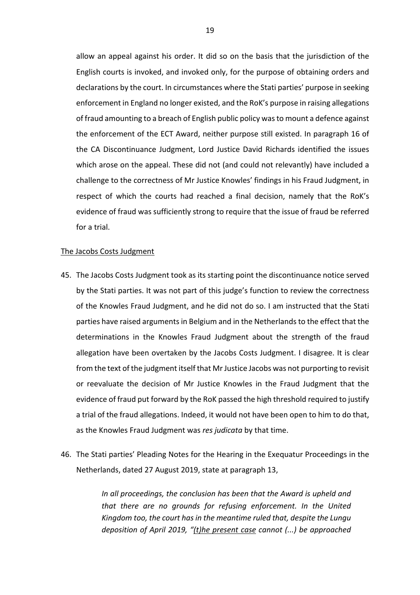allow an appeal against his order. It did so on the basis that the jurisdiction of the English courts is invoked, and invoked only, for the purpose of obtaining orders and declarations by the court. In circumstances where the Stati parties' purpose in seeking enforcement in England no longer existed, and the RoK's purpose in raising allegations of fraud amounting to a breach of English public policy was to mount a defence against the enforcement of the ECT Award, neither purpose still existed. In paragraph 16 of the CA Discontinuance Judgment, Lord Justice David Richards identified the issues which arose on the appeal. These did not (and could not relevantly) have included a challenge to the correctness of Mr Justice Knowles' findings in his Fraud Judgment, in respect of which the courts had reached a final decision, namely that the RoK's evidence of fraud was sufficiently strong to require that the issue of fraud be referred for a trial.

### The Jacobs Costs Judgment

- 45. The Jacobs Costs Judgment took as its starting point the discontinuance notice served by the Stati parties. It was not part of this judge's function to review the correctness of the Knowles Fraud Judgment, and he did not do so. I am instructed that the Stati parties have raised arguments in Belgium and in the Netherlands to the effect that the determinations in the Knowles Fraud Judgment about the strength of the fraud allegation have been overtaken by the Jacobs Costs Judgment. I disagree. It is clear from the text of the judgment itself that Mr Justice Jacobs was not purporting to revisit or reevaluate the decision of Mr Justice Knowles in the Fraud Judgment that the evidence of fraud put forward by the RoK passed the high threshold required to justify a trial of the fraud allegations. Indeed, it would not have been open to him to do that, as the Knowles Fraud Judgment was *res judicata* by that time.
- 46. The Stati parties' Pleading Notes for the Hearing in the Exequatur Proceedings in the Netherlands, dated 27 August 2019, state at paragraph 13,

*In all proceedings, the conclusion has been that the Award is upheld and that there are no grounds for refusing enforcement. In the United Kingdom too, the court has in the meantime ruled that, despite the Lungu deposition of April 2019, "(t)he present case cannot (...) be approached*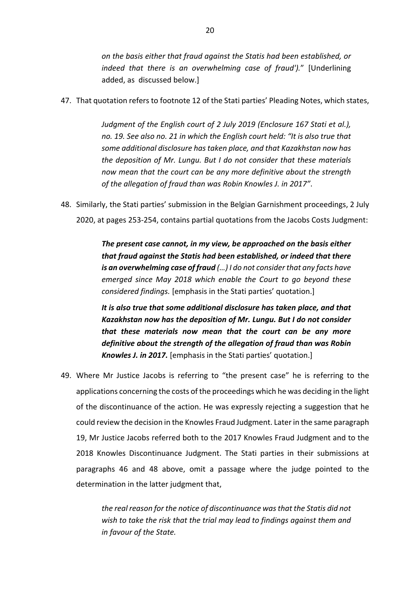*on the basis either that fraud against the Statis had been established, or indeed that there is an overwhelming case of fraud').*" [Underlining added, as discussed below.]

47. That quotation refers to footnote 12 of the Stati parties' Pleading Notes, which states,

*Judgment of the English court of 2 July 2019 (Enclosure 167 Stati et al.), no. 19. See also no. 21 in which the English court held: "It is also true that some additional disclosure has taken place, and that Kazakhstan now has the deposition of Mr. Lungu. But I do not consider that these materials now mean that the court can be any more definitive about the strength of the allegation of fraud than was Robin Knowles J. in 2017"*.

48. Similarly, the Stati parties' submission in the Belgian Garnishment proceedings, 2 July 2020, at pages 253-254, contains partial quotations from the Jacobs Costs Judgment:

> *The present case cannot, in my view, be approached on the basis either that fraud against the Statis had been established, or indeed that there is an overwhelming case of fraud (…) I do not consider that any facts have emerged since May 2018 which enable the Court to go beyond these considered findings.* [emphasis in the Stati parties' quotation.]

> *It is also true that some additional disclosure has taken place, and that Kazakhstan now has the deposition of Mr. Lungu. But I do not consider that these materials now mean that the court can be any more definitive about the strength of the allegation of fraud than was Robin Knowles J. in 2017.* [emphasis in the Stati parties' quotation.]

49. Where Mr Justice Jacobs is referring to "the present case" he is referring to the applications concerning the costs of the proceedings which he was deciding in the light of the discontinuance of the action. He was expressly rejecting a suggestion that he could review the decision in the Knowles Fraud Judgment. Later in the same paragraph 19, Mr Justice Jacobs referred both to the 2017 Knowles Fraud Judgment and to the 2018 Knowles Discontinuance Judgment. The Stati parties in their submissions at paragraphs 46 and 48 above, omit a passage where the judge pointed to the determination in the latter judgment that,

> *the real reason for the notice of discontinuance was that the Statis did not wish to take the risk that the trial may lead to findings against them and in favour of the State.*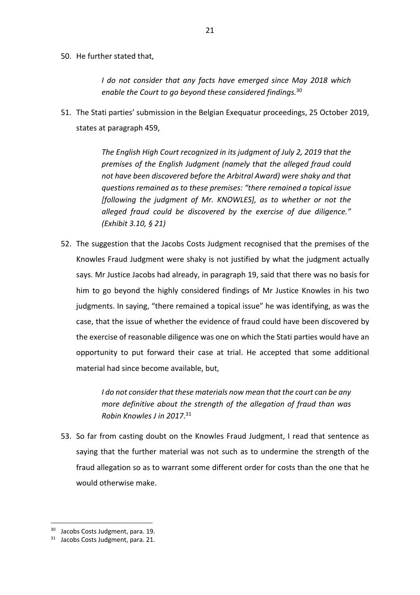50. He further stated that,

*I do not consider that any facts have emerged since May 2018 which enable the Court to go beyond these considered findings.*<sup>30</sup>

51. The Stati parties' submission in the Belgian Exequatur proceedings, 25 October 2019, states at paragraph 459,

> *The English High Court recognized in its judgment of July 2, 2019 that the premises of the English Judgment (namely that the alleged fraud could not have been discovered before the Arbitral Award) were shaky and that questions remained as to these premises: "there remained a topical issue [following the judgment of Mr. KNOWLES], as to whether or not the alleged fraud could be discovered by the exercise of due diligence." (Exhibit 3.10, § 21)*

52. The suggestion that the Jacobs Costs Judgment recognised that the premises of the Knowles Fraud Judgment were shaky is not justified by what the judgment actually says. Mr Justice Jacobs had already, in paragraph 19, said that there was no basis for him to go beyond the highly considered findings of Mr Justice Knowles in his two judgments. In saying, "there remained a topical issue" he was identifying, as was the case, that the issue of whether the evidence of fraud could have been discovered by the exercise of reasonable diligence was one on which the Stati parties would have an opportunity to put forward their case at trial. He accepted that some additional material had since become available, but,

> *I do not consider that these materials now mean that the court can be any more definitive about the strength of the allegation of fraud than was Robin Knowles J in 2017*. 31

53. So far from casting doubt on the Knowles Fraud Judgment, I read that sentence as saying that the further material was not such as to undermine the strength of the fraud allegation so as to warrant some different order for costs than the one that he would otherwise make.

<sup>&</sup>lt;sup>30</sup> Jacobs Costs Judgment, para. 19.

<sup>&</sup>lt;sup>31</sup> Jacobs Costs Judgment, para, 21.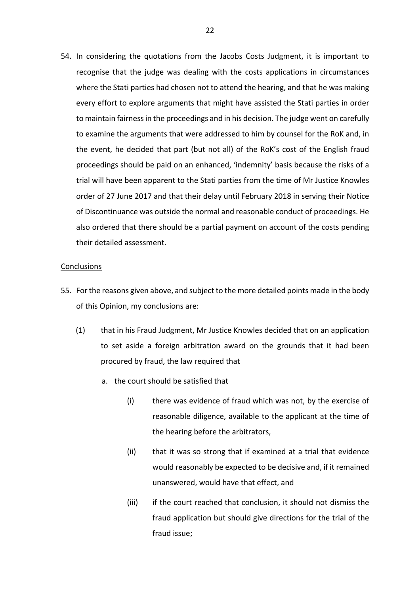54. In considering the quotations from the Jacobs Costs Judgment, it is important to recognise that the judge was dealing with the costs applications in circumstances where the Stati parties had chosen not to attend the hearing, and that he was making every effort to explore arguments that might have assisted the Stati parties in order to maintain fairness in the proceedings and in his decision. The judge went on carefully to examine the arguments that were addressed to him by counsel for the RoK and, in the event, he decided that part (but not all) of the RoK's cost of the English fraud proceedings should be paid on an enhanced, 'indemnity' basis because the risks of a trial will have been apparent to the Stati parties from the time of Mr Justice Knowles order of 27 June 2017 and that their delay until February 2018 in serving their Notice of Discontinuance was outside the normal and reasonable conduct of proceedings. He also ordered that there should be a partial payment on account of the costs pending their detailed assessment.

#### **Conclusions**

- 55. For the reasons given above, and subject to the more detailed points made in the body of this Opinion, my conclusions are:
	- (1) that in his Fraud Judgment, Mr Justice Knowles decided that on an application to set aside a foreign arbitration award on the grounds that it had been procured by fraud, the law required that
		- a. the court should be satisfied that
			- (i) there was evidence of fraud which was not, by the exercise of reasonable diligence, available to the applicant at the time of the hearing before the arbitrators,
			- (ii) that it was so strong that if examined at a trial that evidence would reasonably be expected to be decisive and, if it remained unanswered, would have that effect, and
			- (iii) if the court reached that conclusion, it should not dismiss the fraud application but should give directions for the trial of the fraud issue;